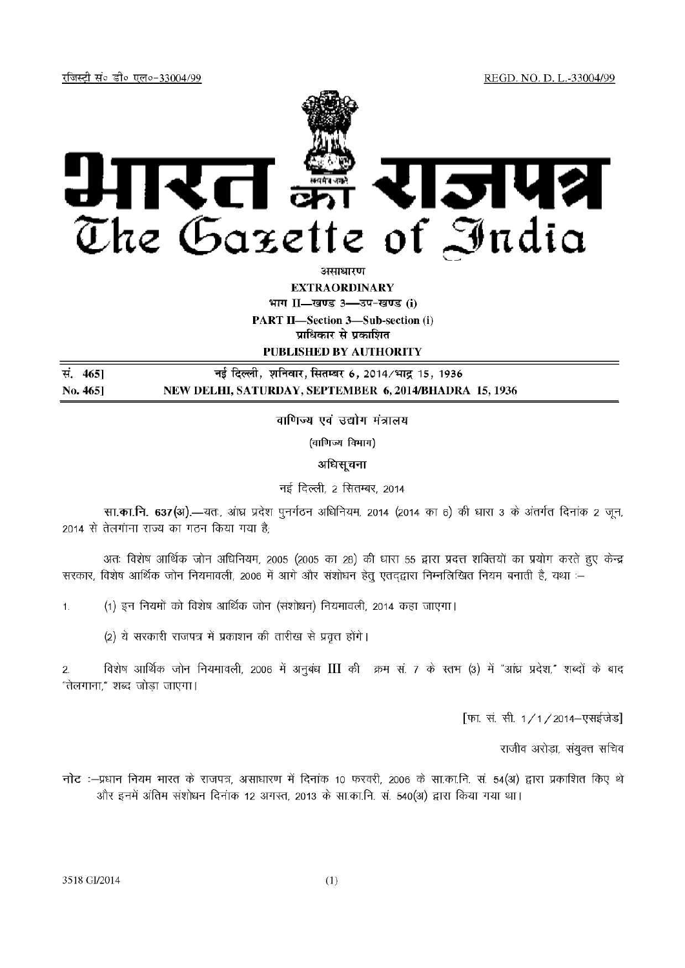REGD. NO. D. L.-33004/99

रजिस्टी सं० डी० एल०-33004/99



असाधारण

**EXTRAORDINARY** 

भाग II-खण्ड 3-3प-खण्ड (i)

**PART II-Section 3-Sub-section (i)** 

प्राधिकार से प्रकाशित

PUBLISHED BY AUTHORITY

नई दिल्ली, शनिवार, सितम्बर 6, 2014/भाद्र 15, 1936 सं. 4651 NEW DELHI, SATURDAY, SEPTEMBER 6, 2014/BHADRA 15, 1936 No. 465]

वाणिज्य एवं उद्योग मंत्रालय

(वाणिज्य विभाग)

अधिसूचना

नई दिल्ली, 2 सितम्बर, 2014

सा.का.नि. 637(अ).-यतः, आंध्र प्रदेश पुनर्गठन अधिनियम, 2014 (2014 का 6) की धारा 3 के अंतर्गत दिनांक 2 जून, 2014 से तेलगाना राज्य का गठन किया गया है:

अतः विशेष आर्थिक जोन अधिनियम, 2005 (2005 का 28) की धारा 55 द्वारा प्रदत्त शक्तियों का प्रयोग करते हुए केन्द्र सरकार, विशेष आर्थिक जोन नियमावली, 2006 में आगे और संशोधन हेतु एतदद्वारा निम्नलिखित नियम बनाती है, यथा :--

(1) इन नियमों को विशेष आर्थिक जोन (संशोधन) नियमावली, 2014 कहा जाएगा।  $1.$ 

(2) ये सरकारी राजपत्र में प्रकाशन की तारीख से प्रवृत्त होंगे।

विशेष आर्थिक जोन नियमावली, 2006 में अनुबंध III की क्रम सं. 7 के स्तम (3) में "आंध्र प्रदेश," शब्दों के बाद  $\overline{2}$ . "तेलगाना." शब्द जोडा जाएगा।

[फा. सं. सी. 1/1/2014-एसईजेड]

राजीव अरोड़ा, संयुक्त सचिव

नोट :-प्रधान नियम भारत के राजपत्र, असाधारण में दिनांक 10 फरवरी, 2006 के सा.का.नि. सं. 54(अ) द्वारा प्रकाशित किए थे और इनमें अंतिम संशोधन दिनांक 12 अगस्त, 2013 के सा.का.नि. सं. 540(अ) द्वारा किया गया था।